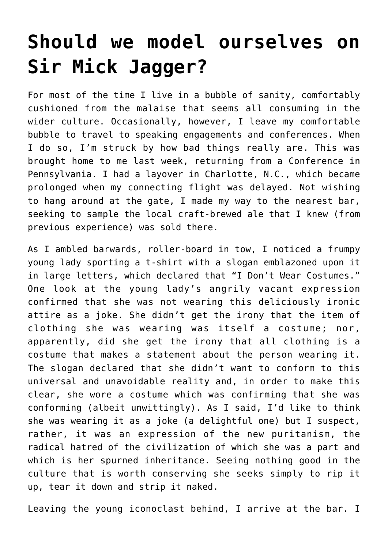## **[Should we model ourselves on](https://intellectualtakeout.org/2016/08/should-we-model-ourselves-on-sir-mick-jagger/) [Sir Mick Jagger?](https://intellectualtakeout.org/2016/08/should-we-model-ourselves-on-sir-mick-jagger/)**

For most of the time I live in a bubble of sanity, comfortably cushioned from the malaise that seems all consuming in the wider culture. Occasionally, however, I leave my comfortable bubble to travel to speaking engagements and conferences. When I do so, I'm struck by how bad things really are. This was brought home to me last week, returning from a Conference in Pennsylvania. I had a layover in Charlotte, N.C., which became prolonged when my connecting flight was delayed. Not wishing to hang around at the gate, I made my way to the nearest bar, seeking to sample the local craft-brewed ale that I knew (from previous experience) was sold there.

As I ambled barwards, roller-board in tow, I noticed a frumpy young lady sporting a t-shirt with a slogan emblazoned upon it in large letters, which declared that "I Don't Wear Costumes." One look at the young lady's angrily vacant expression confirmed that she was not wearing this deliciously ironic attire as a joke. She didn't get the irony that the item of clothing she was wearing was itself a costume; nor, apparently, did she get the irony that all clothing is a costume that makes a statement about the person wearing it. The slogan declared that she didn't want to conform to this universal and unavoidable reality and, in order to make this clear, she wore a costume which was confirming that she was conforming (albeit unwittingly). As I said, I'd like to think she was wearing it as a joke (a delightful one) but I suspect, rather, it was an expression of the new puritanism, the radical hatred of the civilization of which she was a part and which is her spurned inheritance. Seeing nothing good in the culture that is worth conserving she seeks simply to rip it up, tear it down and strip it naked.

Leaving the young iconoclast behind, I arrive at the bar. I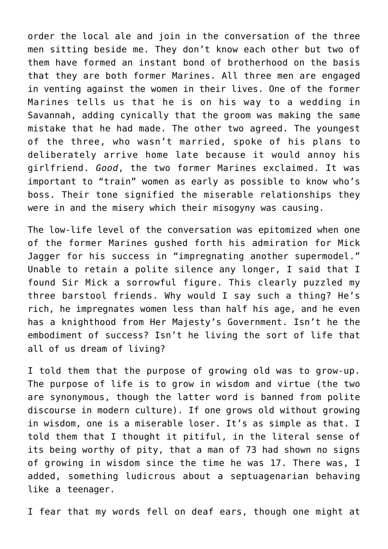order the local ale and join in the conversation of the three men sitting beside me. They don't know each other but two of them have formed an instant bond of brotherhood on the basis that they are both former Marines. All three men are engaged in venting against the women in their lives. One of the former Marines tells us that he is on his way to a wedding in Savannah, adding cynically that the groom was making the same mistake that he had made. The other two agreed. The youngest of the three, who wasn't married, spoke of his plans to deliberately arrive home late because it would annoy his girlfriend. *Good*, the two former Marines exclaimed. It was important to "train" women as early as possible to know who's boss. Their tone signified the miserable relationships they were in and the misery which their misogyny was causing.

The low-life level of the conversation was epitomized when one of the former Marines gushed forth his admiration for Mick Jagger for his success in "impregnating another supermodel." Unable to retain a polite silence any longer, I said that I found Sir Mick a sorrowful figure. This clearly puzzled my three barstool friends. Why would I say such a thing? He's rich, he impregnates women less than half his age, and he even has a knighthood from Her Majesty's Government. Isn't he the embodiment of success? Isn't he living the sort of life that all of us dream of living?

I told them that the purpose of growing old was to grow-up. The purpose of life is to grow in wisdom and virtue (the two are synonymous, though the latter word is banned from polite discourse in modern culture). If one grows old without growing in wisdom, one is a miserable loser. It's as simple as that. I told them that I thought it pitiful, in the literal sense of its being worthy of pity, that a man of 73 had shown no signs of growing in wisdom since the time he was 17. There was, I added, something ludicrous about a septuagenarian behaving like a teenager.

I fear that my words fell on deaf ears, though one might at